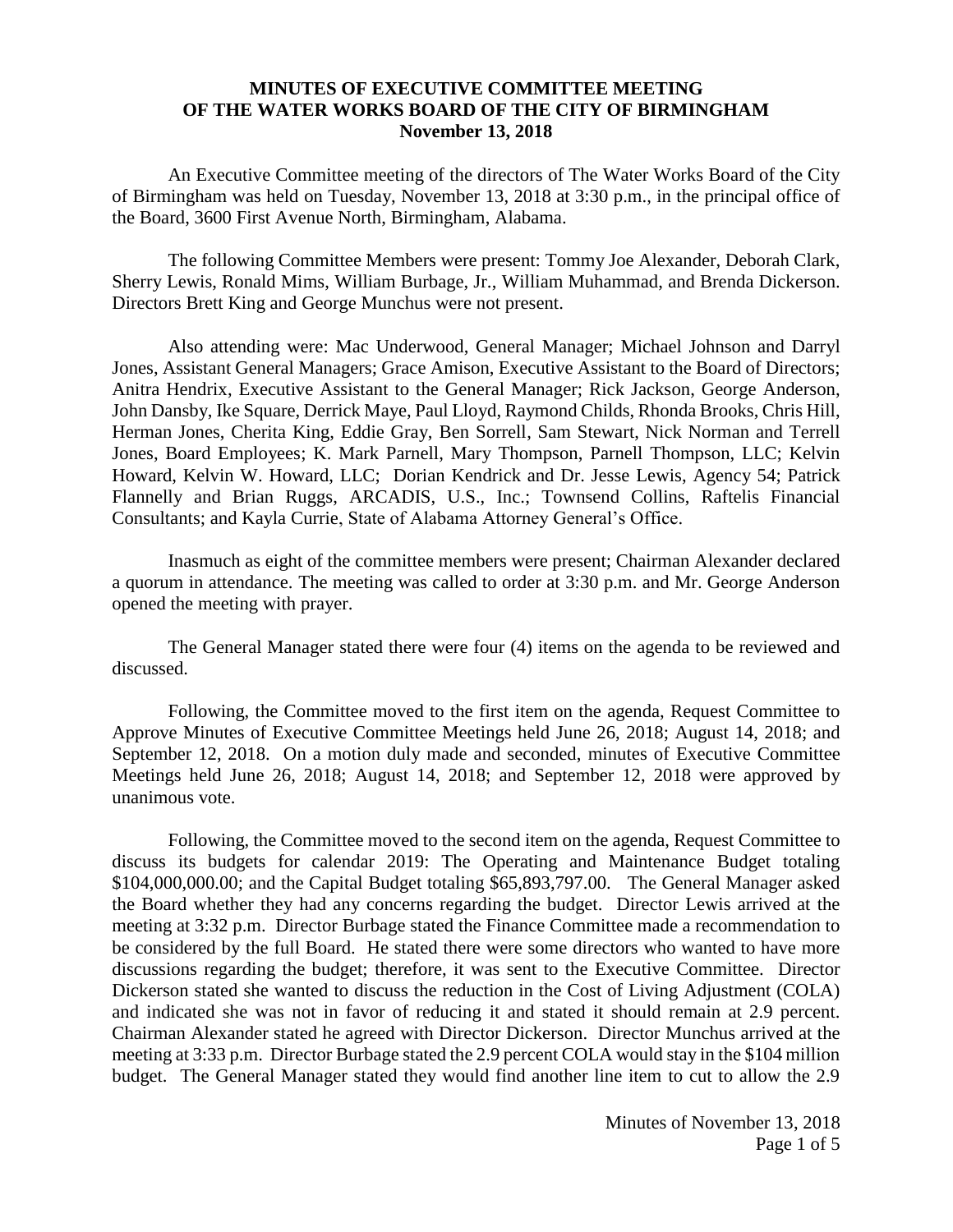## **MINUTES OF EXECUTIVE COMMITTEE MEETING OF THE WATER WORKS BOARD OF THE CITY OF BIRMINGHAM November 13, 2018**

An Executive Committee meeting of the directors of The Water Works Board of the City of Birmingham was held on Tuesday, November 13, 2018 at 3:30 p.m., in the principal office of the Board, 3600 First Avenue North, Birmingham, Alabama.

The following Committee Members were present: Tommy Joe Alexander, Deborah Clark, Sherry Lewis, Ronald Mims, William Burbage, Jr., William Muhammad, and Brenda Dickerson. Directors Brett King and George Munchus were not present.

Also attending were: Mac Underwood, General Manager; Michael Johnson and Darryl Jones, Assistant General Managers; Grace Amison, Executive Assistant to the Board of Directors; Anitra Hendrix, Executive Assistant to the General Manager; Rick Jackson, George Anderson, John Dansby, Ike Square, Derrick Maye, Paul Lloyd, Raymond Childs, Rhonda Brooks, Chris Hill, Herman Jones, Cherita King, Eddie Gray, Ben Sorrell, Sam Stewart, Nick Norman and Terrell Jones, Board Employees; K. Mark Parnell, Mary Thompson, Parnell Thompson, LLC; Kelvin Howard, Kelvin W. Howard, LLC; Dorian Kendrick and Dr. Jesse Lewis, Agency 54; Patrick Flannelly and Brian Ruggs, ARCADIS, U.S., Inc.; Townsend Collins, Raftelis Financial Consultants; and Kayla Currie, State of Alabama Attorney General's Office.

Inasmuch as eight of the committee members were present; Chairman Alexander declared a quorum in attendance. The meeting was called to order at 3:30 p.m. and Mr. George Anderson opened the meeting with prayer.

The General Manager stated there were four (4) items on the agenda to be reviewed and discussed.

Following, the Committee moved to the first item on the agenda, Request Committee to Approve Minutes of Executive Committee Meetings held June 26, 2018; August 14, 2018; and September 12, 2018. On a motion duly made and seconded, minutes of Executive Committee Meetings held June 26, 2018; August 14, 2018; and September 12, 2018 were approved by unanimous vote.

Following, the Committee moved to the second item on the agenda, Request Committee to discuss its budgets for calendar 2019: The Operating and Maintenance Budget totaling \$104,000,000.00; and the Capital Budget totaling \$65,893,797.00. The General Manager asked the Board whether they had any concerns regarding the budget. Director Lewis arrived at the meeting at 3:32 p.m. Director Burbage stated the Finance Committee made a recommendation to be considered by the full Board. He stated there were some directors who wanted to have more discussions regarding the budget; therefore, it was sent to the Executive Committee. Director Dickerson stated she wanted to discuss the reduction in the Cost of Living Adjustment (COLA) and indicated she was not in favor of reducing it and stated it should remain at 2.9 percent. Chairman Alexander stated he agreed with Director Dickerson. Director Munchus arrived at the meeting at 3:33 p.m. Director Burbage stated the 2.9 percent COLA would stay in the \$104 million budget. The General Manager stated they would find another line item to cut to allow the 2.9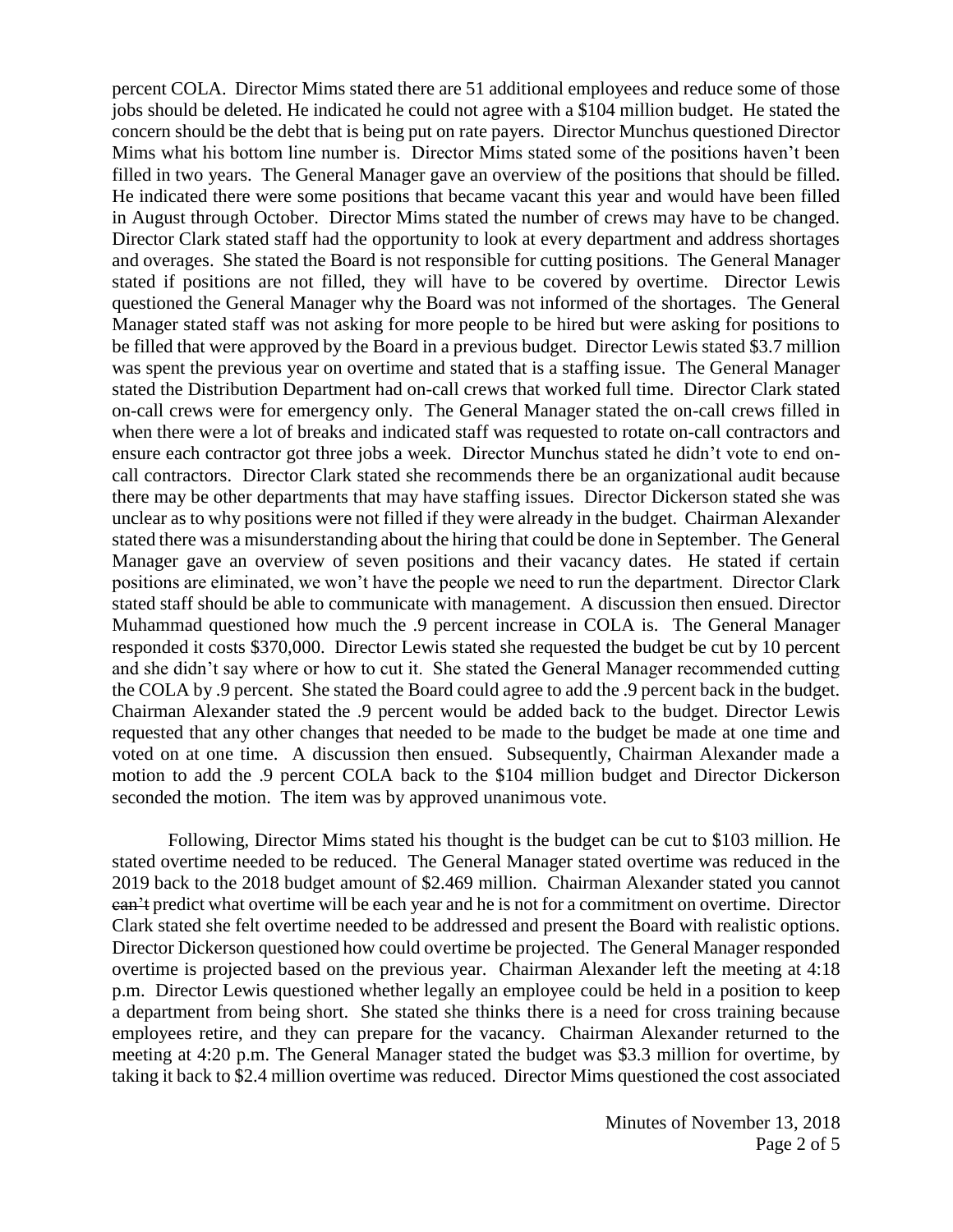percent COLA. Director Mims stated there are 51 additional employees and reduce some of those jobs should be deleted. He indicated he could not agree with a \$104 million budget. He stated the concern should be the debt that is being put on rate payers. Director Munchus questioned Director Mims what his bottom line number is. Director Mims stated some of the positions haven't been filled in two years. The General Manager gave an overview of the positions that should be filled. He indicated there were some positions that became vacant this year and would have been filled in August through October. Director Mims stated the number of crews may have to be changed. Director Clark stated staff had the opportunity to look at every department and address shortages and overages. She stated the Board is not responsible for cutting positions. The General Manager stated if positions are not filled, they will have to be covered by overtime. Director Lewis questioned the General Manager why the Board was not informed of the shortages. The General Manager stated staff was not asking for more people to be hired but were asking for positions to be filled that were approved by the Board in a previous budget. Director Lewis stated \$3.7 million was spent the previous year on overtime and stated that is a staffing issue. The General Manager stated the Distribution Department had on-call crews that worked full time. Director Clark stated on-call crews were for emergency only. The General Manager stated the on-call crews filled in when there were a lot of breaks and indicated staff was requested to rotate on-call contractors and ensure each contractor got three jobs a week. Director Munchus stated he didn't vote to end oncall contractors. Director Clark stated she recommends there be an organizational audit because there may be other departments that may have staffing issues. Director Dickerson stated she was unclear as to why positions were not filled if they were already in the budget. Chairman Alexander stated there was a misunderstanding about the hiring that could be done in September. The General Manager gave an overview of seven positions and their vacancy dates. He stated if certain positions are eliminated, we won't have the people we need to run the department. Director Clark stated staff should be able to communicate with management. A discussion then ensued. Director Muhammad questioned how much the .9 percent increase in COLA is. The General Manager responded it costs \$370,000. Director Lewis stated she requested the budget be cut by 10 percent and she didn't say where or how to cut it. She stated the General Manager recommended cutting the COLA by .9 percent. She stated the Board could agree to add the .9 percent back in the budget. Chairman Alexander stated the .9 percent would be added back to the budget. Director Lewis requested that any other changes that needed to be made to the budget be made at one time and voted on at one time. A discussion then ensued. Subsequently, Chairman Alexander made a motion to add the .9 percent COLA back to the \$104 million budget and Director Dickerson seconded the motion. The item was by approved unanimous vote.

Following, Director Mims stated his thought is the budget can be cut to \$103 million. He stated overtime needed to be reduced. The General Manager stated overtime was reduced in the 2019 back to the 2018 budget amount of \$2.469 million. Chairman Alexander stated you cannot can't predict what overtime will be each year and he is not for a commitment on overtime. Director Clark stated she felt overtime needed to be addressed and present the Board with realistic options. Director Dickerson questioned how could overtime be projected. The General Manager responded overtime is projected based on the previous year. Chairman Alexander left the meeting at 4:18 p.m. Director Lewis questioned whether legally an employee could be held in a position to keep a department from being short. She stated she thinks there is a need for cross training because employees retire, and they can prepare for the vacancy. Chairman Alexander returned to the meeting at 4:20 p.m. The General Manager stated the budget was \$3.3 million for overtime, by taking it back to \$2.4 million overtime was reduced. Director Mims questioned the cost associated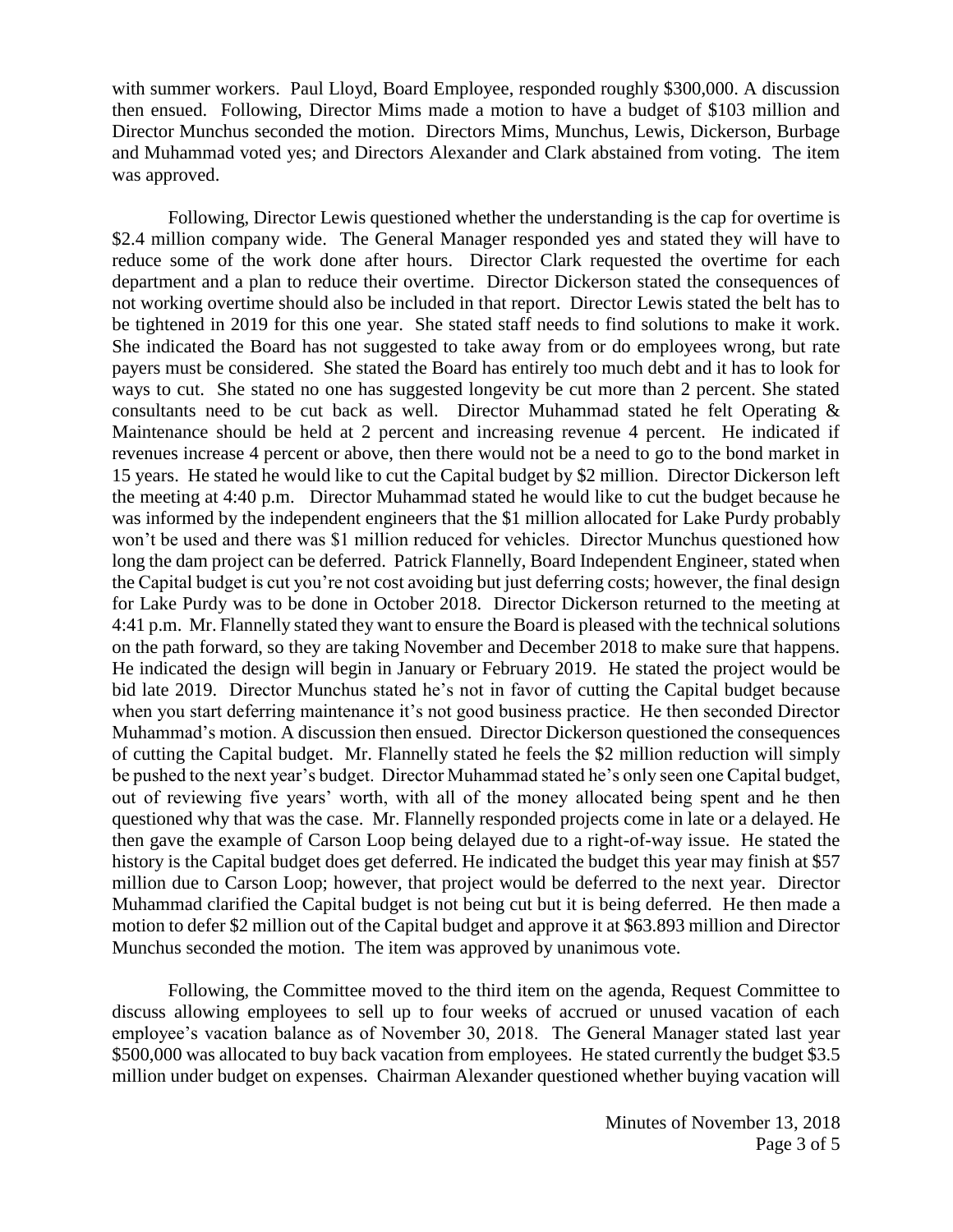with summer workers. Paul Lloyd, Board Employee, responded roughly \$300,000. A discussion then ensued. Following, Director Mims made a motion to have a budget of \$103 million and Director Munchus seconded the motion. Directors Mims, Munchus, Lewis, Dickerson, Burbage and Muhammad voted yes; and Directors Alexander and Clark abstained from voting. The item was approved.

Following, Director Lewis questioned whether the understanding is the cap for overtime is \$2.4 million company wide. The General Manager responded yes and stated they will have to reduce some of the work done after hours. Director Clark requested the overtime for each department and a plan to reduce their overtime. Director Dickerson stated the consequences of not working overtime should also be included in that report. Director Lewis stated the belt has to be tightened in 2019 for this one year. She stated staff needs to find solutions to make it work. She indicated the Board has not suggested to take away from or do employees wrong, but rate payers must be considered. She stated the Board has entirely too much debt and it has to look for ways to cut. She stated no one has suggested longevity be cut more than 2 percent. She stated consultants need to be cut back as well. Director Muhammad stated he felt Operating & Maintenance should be held at 2 percent and increasing revenue 4 percent. He indicated if revenues increase 4 percent or above, then there would not be a need to go to the bond market in 15 years. He stated he would like to cut the Capital budget by \$2 million. Director Dickerson left the meeting at 4:40 p.m. Director Muhammad stated he would like to cut the budget because he was informed by the independent engineers that the \$1 million allocated for Lake Purdy probably won't be used and there was \$1 million reduced for vehicles. Director Munchus questioned how long the dam project can be deferred. Patrick Flannelly, Board Independent Engineer, stated when the Capital budget is cut you're not cost avoiding but just deferring costs; however, the final design for Lake Purdy was to be done in October 2018. Director Dickerson returned to the meeting at 4:41 p.m. Mr. Flannelly stated they want to ensure the Board is pleased with the technical solutions on the path forward, so they are taking November and December 2018 to make sure that happens. He indicated the design will begin in January or February 2019. He stated the project would be bid late 2019. Director Munchus stated he's not in favor of cutting the Capital budget because when you start deferring maintenance it's not good business practice. He then seconded Director Muhammad's motion. A discussion then ensued. Director Dickerson questioned the consequences of cutting the Capital budget. Mr. Flannelly stated he feels the \$2 million reduction will simply be pushed to the next year's budget. Director Muhammad stated he's only seen one Capital budget, out of reviewing five years' worth, with all of the money allocated being spent and he then questioned why that was the case. Mr. Flannelly responded projects come in late or a delayed. He then gave the example of Carson Loop being delayed due to a right-of-way issue. He stated the history is the Capital budget does get deferred. He indicated the budget this year may finish at \$57 million due to Carson Loop; however, that project would be deferred to the next year. Director Muhammad clarified the Capital budget is not being cut but it is being deferred. He then made a motion to defer \$2 million out of the Capital budget and approve it at \$63.893 million and Director Munchus seconded the motion. The item was approved by unanimous vote.

Following, the Committee moved to the third item on the agenda, Request Committee to discuss allowing employees to sell up to four weeks of accrued or unused vacation of each employee's vacation balance as of November 30, 2018. The General Manager stated last year \$500,000 was allocated to buy back vacation from employees. He stated currently the budget \$3.5 million under budget on expenses. Chairman Alexander questioned whether buying vacation will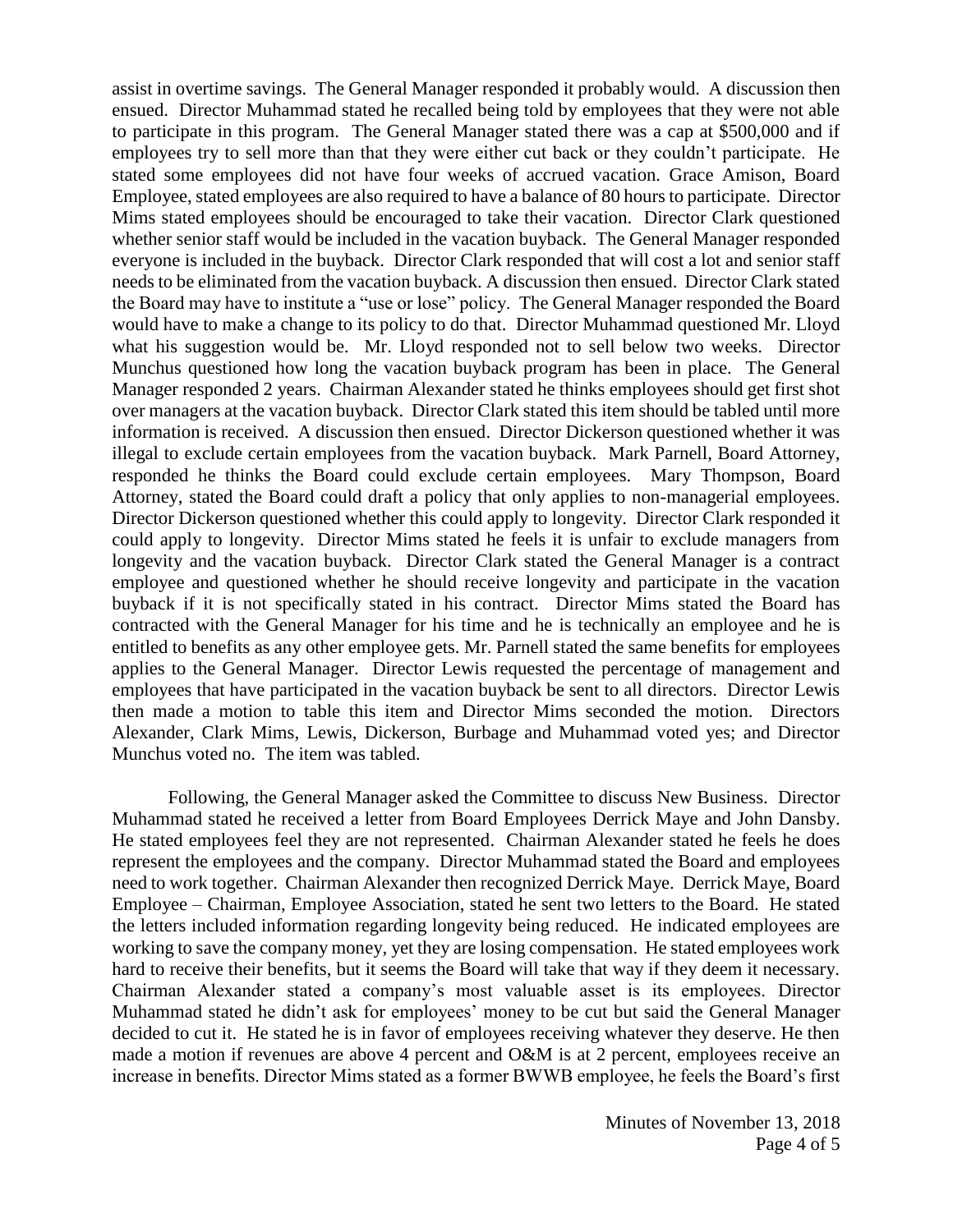assist in overtime savings. The General Manager responded it probably would. A discussion then ensued. Director Muhammad stated he recalled being told by employees that they were not able to participate in this program. The General Manager stated there was a cap at \$500,000 and if employees try to sell more than that they were either cut back or they couldn't participate. He stated some employees did not have four weeks of accrued vacation. Grace Amison, Board Employee, stated employees are also required to have a balance of 80 hours to participate. Director Mims stated employees should be encouraged to take their vacation. Director Clark questioned whether senior staff would be included in the vacation buyback. The General Manager responded everyone is included in the buyback. Director Clark responded that will cost a lot and senior staff needs to be eliminated from the vacation buyback. A discussion then ensued. Director Clark stated the Board may have to institute a "use or lose" policy. The General Manager responded the Board would have to make a change to its policy to do that. Director Muhammad questioned Mr. Lloyd what his suggestion would be. Mr. Lloyd responded not to sell below two weeks. Director Munchus questioned how long the vacation buyback program has been in place. The General Manager responded 2 years. Chairman Alexander stated he thinks employees should get first shot over managers at the vacation buyback. Director Clark stated this item should be tabled until more information is received. A discussion then ensued. Director Dickerson questioned whether it was illegal to exclude certain employees from the vacation buyback. Mark Parnell, Board Attorney, responded he thinks the Board could exclude certain employees. Mary Thompson, Board Attorney, stated the Board could draft a policy that only applies to non-managerial employees. Director Dickerson questioned whether this could apply to longevity. Director Clark responded it could apply to longevity. Director Mims stated he feels it is unfair to exclude managers from longevity and the vacation buyback. Director Clark stated the General Manager is a contract employee and questioned whether he should receive longevity and participate in the vacation buyback if it is not specifically stated in his contract. Director Mims stated the Board has contracted with the General Manager for his time and he is technically an employee and he is entitled to benefits as any other employee gets. Mr. Parnell stated the same benefits for employees applies to the General Manager. Director Lewis requested the percentage of management and employees that have participated in the vacation buyback be sent to all directors. Director Lewis then made a motion to table this item and Director Mims seconded the motion. Directors Alexander, Clark Mims, Lewis, Dickerson, Burbage and Muhammad voted yes; and Director Munchus voted no. The item was tabled.

Following, the General Manager asked the Committee to discuss New Business. Director Muhammad stated he received a letter from Board Employees Derrick Maye and John Dansby. He stated employees feel they are not represented. Chairman Alexander stated he feels he does represent the employees and the company. Director Muhammad stated the Board and employees need to work together. Chairman Alexander then recognized Derrick Maye. Derrick Maye, Board Employee – Chairman, Employee Association, stated he sent two letters to the Board. He stated the letters included information regarding longevity being reduced. He indicated employees are working to save the company money, yet they are losing compensation. He stated employees work hard to receive their benefits, but it seems the Board will take that way if they deem it necessary. Chairman Alexander stated a company's most valuable asset is its employees. Director Muhammad stated he didn't ask for employees' money to be cut but said the General Manager decided to cut it. He stated he is in favor of employees receiving whatever they deserve. He then made a motion if revenues are above 4 percent and O&M is at 2 percent, employees receive an increase in benefits. Director Mims stated as a former BWWB employee, he feels the Board's first